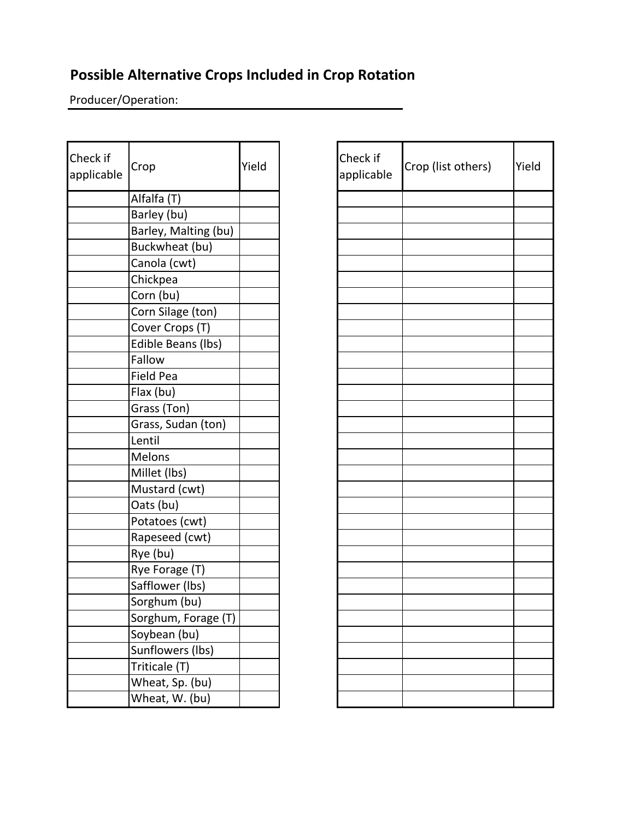## **Possible Alternative Crops Included in Crop Rotation**

Producer/Operation:

| Check if<br>applicable | Crop                 | Yield | Check if<br>applicab |
|------------------------|----------------------|-------|----------------------|
|                        | Alfalfa (T)          |       |                      |
|                        | Barley (bu)          |       |                      |
|                        | Barley, Malting (bu) |       |                      |
|                        | Buckwheat (bu)       |       |                      |
|                        | Canola (cwt)         |       |                      |
|                        | Chickpea             |       |                      |
|                        | Corn (bu)            |       |                      |
|                        | Corn Silage (ton)    |       |                      |
|                        | Cover Crops (T)      |       |                      |
|                        | Edible Beans (lbs)   |       |                      |
|                        | Fallow               |       |                      |
|                        | <b>Field Pea</b>     |       |                      |
|                        | Flax (bu)            |       |                      |
|                        | Grass (Ton)          |       |                      |
|                        | Grass, Sudan (ton)   |       |                      |
|                        | Lentil               |       |                      |
|                        | <b>Melons</b>        |       |                      |
|                        | Millet (lbs)         |       |                      |
|                        | Mustard (cwt)        |       |                      |
|                        | Oats (bu)            |       |                      |
|                        | Potatoes (cwt)       |       |                      |
|                        | Rapeseed (cwt)       |       |                      |
|                        | Rye (bu)             |       |                      |
|                        | Rye Forage (T)       |       |                      |
|                        | Safflower (lbs)      |       |                      |
|                        | Sorghum (bu)         |       |                      |
|                        | Sorghum, Forage (T)  |       |                      |
|                        | Soybean (bu)         |       |                      |
|                        | Sunflowers (lbs)     |       |                      |
|                        | Triticale (T)        |       |                      |
|                        | Wheat, Sp. (bu)      |       |                      |
|                        | Wheat, W. (bu)       |       |                      |

| Check if<br>applicable | Crop (list others) | Yield |
|------------------------|--------------------|-------|
|                        |                    |       |
|                        |                    |       |
|                        |                    |       |
|                        |                    |       |
|                        |                    |       |
|                        |                    |       |
|                        |                    |       |
|                        |                    |       |
|                        |                    |       |
|                        |                    |       |
|                        |                    |       |
|                        |                    |       |
|                        |                    |       |
|                        |                    |       |
|                        |                    |       |
|                        |                    |       |
|                        |                    |       |
|                        |                    |       |
|                        |                    |       |
|                        |                    |       |
|                        |                    |       |
|                        |                    |       |
|                        |                    |       |
|                        |                    |       |
|                        |                    |       |
|                        |                    |       |
|                        |                    |       |
|                        |                    |       |